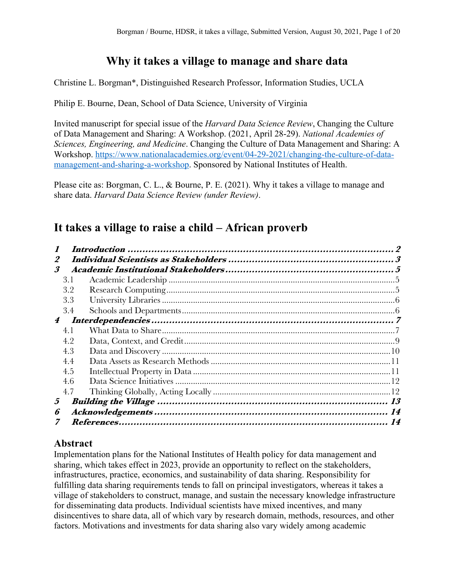# **Why it takes a village to manage and share data**

Christine L. Borgman\*, Distinguished Research Professor, Information Studies, UCLA

Philip E. Bourne, Dean, School of Data Science, University of Virginia

Invited manuscript for special issue of the *Harvard Data Science Review*, Changing the Culture of Data Management and Sharing: A Workshop. (2021, April 28-29). *National Academies of Sciences, Engineering, and Medicine*. Changing the Culture of Data Management and Sharing: A Workshop. https://www.nationalacademies.org/event/04-29-2021/changing-the-culture-of-datamanagement-and-sharing-a-workshop. Sponsored by National Institutes of Health.

Please cite as: Borgman, C. L., & Bourne, P. E. (2021). Why it takes a village to manage and share data. *Harvard Data Science Review (under Review)*.

# **It takes a village to raise a child – African proverb**

| 2                       |     |  |
|-------------------------|-----|--|
| $\boldsymbol{\beta}$    |     |  |
|                         | 3.1 |  |
|                         | 3.2 |  |
|                         | 3.3 |  |
|                         | 3.4 |  |
| 4                       |     |  |
|                         | 4.1 |  |
|                         | 4.2 |  |
|                         | 4.3 |  |
|                         | 4.4 |  |
|                         | 4.5 |  |
|                         | 4.6 |  |
|                         | 4.7 |  |
| $\overline{\mathbf{z}}$ |     |  |
| 6                       |     |  |
|                         |     |  |

# **Abstract**

Implementation plans for the National Institutes of Health policy for data management and sharing, which takes effect in 2023, provide an opportunity to reflect on the stakeholders, infrastructures, practice, economics, and sustainability of data sharing. Responsibility for fulfilling data sharing requirements tends to fall on principal investigators, whereas it takes a village of stakeholders to construct, manage, and sustain the necessary knowledge infrastructure for disseminating data products. Individual scientists have mixed incentives, and many disincentives to share data, all of which vary by research domain, methods, resources, and other factors. Motivations and investments for data sharing also vary widely among academic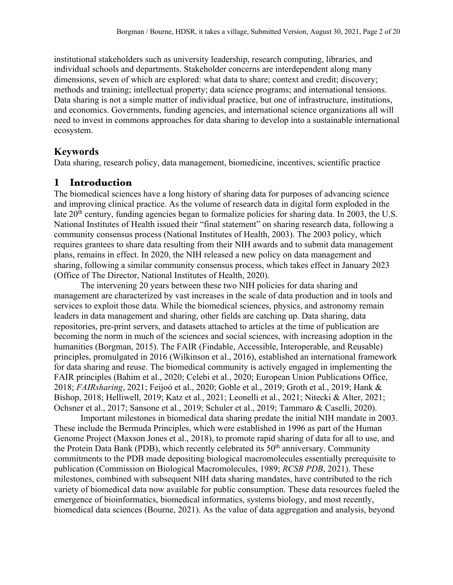institutional stakeholders such as university leadership, research computing, libraries, and individual schools and departments. Stakeholder concerns are interdependent along many dimensions, seven of which are explored: what data to share; context and credit; discovery; methods and training; intellectual property; data science programs; and international tensions. Data sharing is not a simple matter of individual practice, but one of infrastructure, institutions, and economics. Governments, funding agencies, and international science organizations all will need to invest in commons approaches for data sharing to develop into a sustainable international ecosystem.

# **Keywords**

Data sharing, research policy, data management, biomedicine, incentives, scientific practice

# **1 Introduction**

The biomedical sciences have a long history of sharing data for purposes of advancing science and improving clinical practice. As the volume of research data in digital form exploded in the late 20<sup>th</sup> century, funding agencies began to formalize policies for sharing data. In 2003, the U.S. National Institutes of Health issued their "final statement" on sharing research data, following a community consensus process (National Institutes of Health, 2003). The 2003 policy, which requires grantees to share data resulting from their NIH awards and to submit data management plans, remains in effect. In 2020, the NIH released a new policy on data management and sharing, following a similar community consensus process, which takes effect in January 2023 (Office of The Director, National Institutes of Health, 2020).

The intervening 20 years between these two NIH policies for data sharing and management are characterized by vast increases in the scale of data production and in tools and services to exploit those data. While the biomedical sciences, physics, and astronomy remain leaders in data management and sharing, other fields are catching up. Data sharing, data repositories, pre-print servers, and datasets attached to articles at the time of publication are becoming the norm in much of the sciences and social sciences, with increasing adoption in the humanities (Borgman, 2015). The FAIR (Findable, Accessible, Interoperable, and Reusable) principles, promulgated in 2016 (Wilkinson et al., 2016), established an international framework for data sharing and reuse. The biomedical community is actively engaged in implementing the FAIR principles (Bahim et al., 2020; Celebi et al., 2020; European Union Publications Office, 2018; *FAIRsharing*, 2021; Feijoó et al., 2020; Goble et al., 2019; Groth et al., 2019; Hank & Bishop, 2018; Helliwell, 2019; Katz et al., 2021; Leonelli et al., 2021; Nitecki & Alter, 2021; Ochsner et al., 2017; Sansone et al., 2019; Schuler et al., 2019; Tammaro & Caselli, 2020).

Important milestones in biomedical data sharing predate the initial NIH mandate in 2003. These include the Bermuda Principles, which were established in 1996 as part of the Human Genome Project (Maxson Jones et al., 2018), to promote rapid sharing of data for all to use, and the Protein Data Bank (PDB), which recently celebrated its 50<sup>th</sup> anniversary. Community commitments to the PDB made depositing biological macromolecules essentially prerequisite to publication (Commission on Biological Macromolecules, 1989; *RCSB PDB*, 2021). These milestones, combined with subsequent NIH data sharing mandates, have contributed to the rich variety of biomedical data now available for public consumption. These data resources fueled the emergence of bioinformatics, biomedical informatics, systems biology, and most recently, biomedical data sciences (Bourne, 2021). As the value of data aggregation and analysis, beyond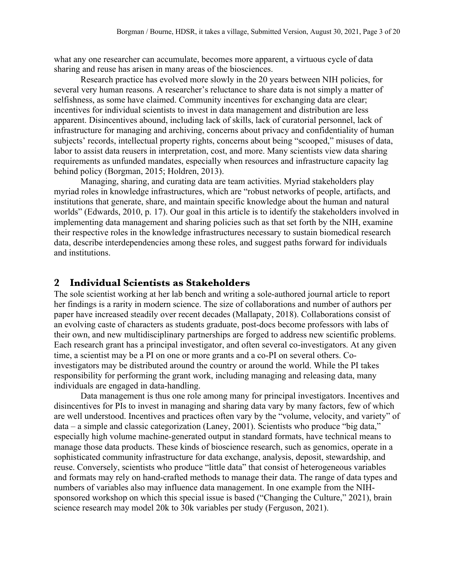what any one researcher can accumulate, becomes more apparent, a virtuous cycle of data sharing and reuse has arisen in many areas of the biosciences.

Research practice has evolved more slowly in the 20 years between NIH policies, for several very human reasons. A researcher's reluctance to share data is not simply a matter of selfishness, as some have claimed. Community incentives for exchanging data are clear; incentives for individual scientists to invest in data management and distribution are less apparent. Disincentives abound, including lack of skills, lack of curatorial personnel, lack of infrastructure for managing and archiving, concerns about privacy and confidentiality of human subjects' records, intellectual property rights, concerns about being "scooped," misuses of data, labor to assist data reusers in interpretation, cost, and more. Many scientists view data sharing requirements as unfunded mandates, especially when resources and infrastructure capacity lag behind policy (Borgman, 2015; Holdren, 2013).

Managing, sharing, and curating data are team activities. Myriad stakeholders play myriad roles in knowledge infrastructures, which are "robust networks of people, artifacts, and institutions that generate, share, and maintain specific knowledge about the human and natural worlds" (Edwards, 2010, p. 17). Our goal in this article is to identify the stakeholders involved in implementing data management and sharing policies such as that set forth by the NIH, examine their respective roles in the knowledge infrastructures necessary to sustain biomedical research data, describe interdependencies among these roles, and suggest paths forward for individuals and institutions.

#### **2 Individual Scientists as Stakeholders**

The sole scientist working at her lab bench and writing a sole-authored journal article to report her findings is a rarity in modern science. The size of collaborations and number of authors per paper have increased steadily over recent decades (Mallapaty, 2018). Collaborations consist of an evolving caste of characters as students graduate, post-docs become professors with labs of their own, and new multidisciplinary partnerships are forged to address new scientific problems. Each research grant has a principal investigator, and often several co-investigators. At any given time, a scientist may be a PI on one or more grants and a co-PI on several others. Coinvestigators may be distributed around the country or around the world. While the PI takes responsibility for performing the grant work, including managing and releasing data, many individuals are engaged in data-handling.

Data management is thus one role among many for principal investigators. Incentives and disincentives for PIs to invest in managing and sharing data vary by many factors, few of which are well understood. Incentives and practices often vary by the "volume, velocity, and variety" of data – a simple and classic categorization (Laney, 2001). Scientists who produce "big data," especially high volume machine-generated output in standard formats, have technical means to manage those data products. These kinds of bioscience research, such as genomics, operate in a sophisticated community infrastructure for data exchange, analysis, deposit, stewardship, and reuse. Conversely, scientists who produce "little data" that consist of heterogeneous variables and formats may rely on hand-crafted methods to manage their data. The range of data types and numbers of variables also may influence data management. In one example from the NIHsponsored workshop on which this special issue is based ("Changing the Culture," 2021), brain science research may model 20k to 30k variables per study (Ferguson, 2021).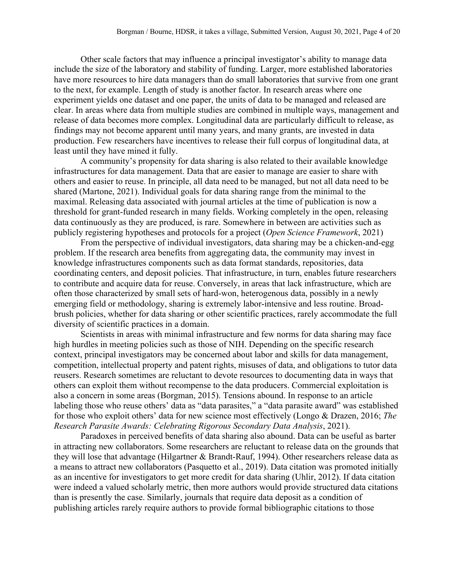Other scale factors that may influence a principal investigator's ability to manage data include the size of the laboratory and stability of funding. Larger, more established laboratories have more resources to hire data managers than do small laboratories that survive from one grant to the next, for example. Length of study is another factor. In research areas where one experiment yields one dataset and one paper, the units of data to be managed and released are clear. In areas where data from multiple studies are combined in multiple ways, management and release of data becomes more complex. Longitudinal data are particularly difficult to release, as findings may not become apparent until many years, and many grants, are invested in data production. Few researchers have incentives to release their full corpus of longitudinal data, at least until they have mined it fully.

A community's propensity for data sharing is also related to their available knowledge infrastructures for data management. Data that are easier to manage are easier to share with others and easier to reuse. In principle, all data need to be managed, but not all data need to be shared (Martone, 2021). Individual goals for data sharing range from the minimal to the maximal. Releasing data associated with journal articles at the time of publication is now a threshold for grant-funded research in many fields. Working completely in the open, releasing data continuously as they are produced, is rare. Somewhere in between are activities such as publicly registering hypotheses and protocols for a project (*Open Science Framework*, 2021)

From the perspective of individual investigators, data sharing may be a chicken-and-egg problem. If the research area benefits from aggregating data, the community may invest in knowledge infrastructures components such as data format standards, repositories, data coordinating centers, and deposit policies. That infrastructure, in turn, enables future researchers to contribute and acquire data for reuse. Conversely, in areas that lack infrastructure, which are often those characterized by small sets of hard-won, heterogenous data, possibly in a newly emerging field or methodology, sharing is extremely labor-intensive and less routine. Broadbrush policies, whether for data sharing or other scientific practices, rarely accommodate the full diversity of scientific practices in a domain.

Scientists in areas with minimal infrastructure and few norms for data sharing may face high hurdles in meeting policies such as those of NIH. Depending on the specific research context, principal investigators may be concerned about labor and skills for data management, competition, intellectual property and patent rights, misuses of data, and obligations to tutor data reusers. Research sometimes are reluctant to devote resources to documenting data in ways that others can exploit them without recompense to the data producers. Commercial exploitation is also a concern in some areas (Borgman, 2015). Tensions abound. In response to an article labeling those who reuse others' data as "data parasites," a "data parasite award" was established for those who exploit others' data for new science most effectively (Longo & Drazen, 2016; *The Research Parasite Awards: Celebrating Rigorous Secondary Data Analysis*, 2021).

Paradoxes in perceived benefits of data sharing also abound. Data can be useful as barter in attracting new collaborators. Some researchers are reluctant to release data on the grounds that they will lose that advantage (Hilgartner & Brandt-Rauf, 1994). Other researchers release data as a means to attract new collaborators (Pasquetto et al., 2019). Data citation was promoted initially as an incentive for investigators to get more credit for data sharing (Uhlir, 2012). If data citation were indeed a valued scholarly metric, then more authors would provide structured data citations than is presently the case. Similarly, journals that require data deposit as a condition of publishing articles rarely require authors to provide formal bibliographic citations to those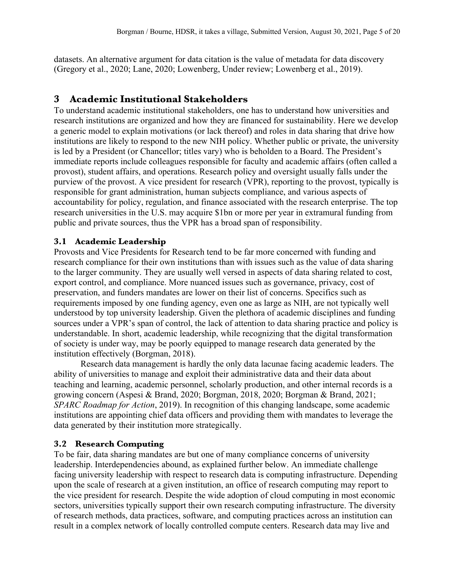datasets. An alternative argument for data citation is the value of metadata for data discovery (Gregory et al., 2020; Lane, 2020; Lowenberg, Under review; Lowenberg et al., 2019).

# **3 Academic Institutional Stakeholders**

To understand academic institutional stakeholders, one has to understand how universities and research institutions are organized and how they are financed for sustainability. Here we develop a generic model to explain motivations (or lack thereof) and roles in data sharing that drive how institutions are likely to respond to the new NIH policy. Whether public or private, the university is led by a President (or Chancellor; titles vary) who is beholden to a Board. The President's immediate reports include colleagues responsible for faculty and academic affairs (often called a provost), student affairs, and operations. Research policy and oversight usually falls under the purview of the provost. A vice president for research (VPR), reporting to the provost, typically is responsible for grant administration, human subjects compliance, and various aspects of accountability for policy, regulation, and finance associated with the research enterprise. The top research universities in the U.S. may acquire \$1bn or more per year in extramural funding from public and private sources, thus the VPR has a broad span of responsibility.

### **3.1 Academic Leadership**

Provosts and Vice Presidents for Research tend to be far more concerned with funding and research compliance for their own institutions than with issues such as the value of data sharing to the larger community. They are usually well versed in aspects of data sharing related to cost, export control, and compliance. More nuanced issues such as governance, privacy, cost of preservation, and funders mandates are lower on their list of concerns. Specifics such as requirements imposed by one funding agency, even one as large as NIH, are not typically well understood by top university leadership. Given the plethora of academic disciplines and funding sources under a VPR's span of control, the lack of attention to data sharing practice and policy is understandable. In short, academic leadership, while recognizing that the digital transformation of society is under way, may be poorly equipped to manage research data generated by the institution effectively (Borgman, 2018).

Research data management is hardly the only data lacunae facing academic leaders. The ability of universities to manage and exploit their administrative data and their data about teaching and learning, academic personnel, scholarly production, and other internal records is a growing concern (Aspesi & Brand, 2020; Borgman, 2018, 2020; Borgman & Brand, 2021; *SPARC Roadmap for Action*, 2019). In recognition of this changing landscape, some academic institutions are appointing chief data officers and providing them with mandates to leverage the data generated by their institution more strategically.

### **3.2 Research Computing**

To be fair, data sharing mandates are but one of many compliance concerns of university leadership. Interdependencies abound, as explained further below. An immediate challenge facing university leadership with respect to research data is computing infrastructure. Depending upon the scale of research at a given institution, an office of research computing may report to the vice president for research. Despite the wide adoption of cloud computing in most economic sectors, universities typically support their own research computing infrastructure. The diversity of research methods, data practices, software, and computing practices across an institution can result in a complex network of locally controlled compute centers. Research data may live and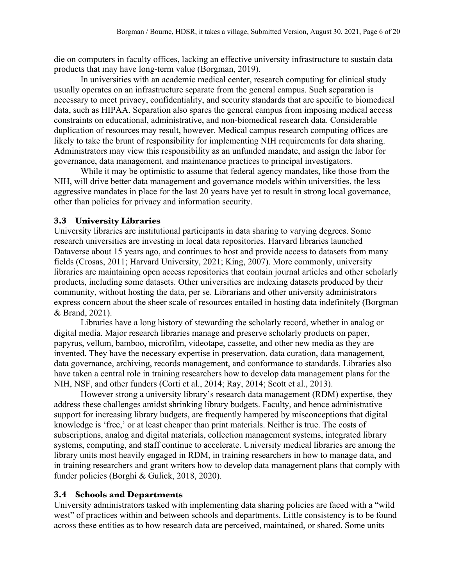die on computers in faculty offices, lacking an effective university infrastructure to sustain data products that may have long-term value (Borgman, 2019).

In universities with an academic medical center, research computing for clinical study usually operates on an infrastructure separate from the general campus. Such separation is necessary to meet privacy, confidentiality, and security standards that are specific to biomedical data, such as HIPAA. Separation also spares the general campus from imposing medical access constraints on educational, administrative, and non-biomedical research data. Considerable duplication of resources may result, however. Medical campus research computing offices are likely to take the brunt of responsibility for implementing NIH requirements for data sharing. Administrators may view this responsibility as an unfunded mandate, and assign the labor for governance, data management, and maintenance practices to principal investigators.

While it may be optimistic to assume that federal agency mandates, like those from the NIH, will drive better data management and governance models within universities, the less aggressive mandates in place for the last 20 years have yet to result in strong local governance, other than policies for privacy and information security.

### **3.3 University Libraries**

University libraries are institutional participants in data sharing to varying degrees. Some research universities are investing in local data repositories. Harvard libraries launched Dataverse about 15 years ago, and continues to host and provide access to datasets from many fields (Crosas, 2011; Harvard University, 2021; King, 2007). More commonly, university libraries are maintaining open access repositories that contain journal articles and other scholarly products, including some datasets. Other universities are indexing datasets produced by their community, without hosting the data, per se. Librarians and other university administrators express concern about the sheer scale of resources entailed in hosting data indefinitely (Borgman & Brand, 2021).

Libraries have a long history of stewarding the scholarly record, whether in analog or digital media. Major research libraries manage and preserve scholarly products on paper, papyrus, vellum, bamboo, microfilm, videotape, cassette, and other new media as they are invented. They have the necessary expertise in preservation, data curation, data management, data governance, archiving, records management, and conformance to standards. Libraries also have taken a central role in training researchers how to develop data management plans for the NIH, NSF, and other funders (Corti et al., 2014; Ray, 2014; Scott et al., 2013).

However strong a university library's research data management (RDM) expertise, they address these challenges amidst shrinking library budgets. Faculty, and hence administrative support for increasing library budgets, are frequently hampered by misconceptions that digital knowledge is 'free,' or at least cheaper than print materials. Neither is true. The costs of subscriptions, analog and digital materials, collection management systems, integrated library systems, computing, and staff continue to accelerate. University medical libraries are among the library units most heavily engaged in RDM, in training researchers in how to manage data, and in training researchers and grant writers how to develop data management plans that comply with funder policies (Borghi & Gulick, 2018, 2020).

### **3.4 Schools and Departments**

University administrators tasked with implementing data sharing policies are faced with a "wild west" of practices within and between schools and departments. Little consistency is to be found across these entities as to how research data are perceived, maintained, or shared. Some units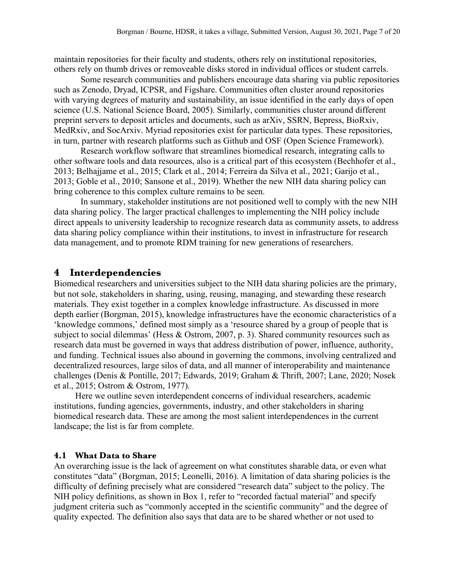maintain repositories for their faculty and students, others rely on institutional repositories, others rely on thumb drives or removeable disks stored in individual offices or student carrels.

Some research communities and publishers encourage data sharing via public repositories such as Zenodo, Dryad, ICPSR, and Figshare. Communities often cluster around repositories with varying degrees of maturity and sustainability, an issue identified in the early days of open science (U.S. National Science Board, 2005). Similarly, communities cluster around different preprint servers to deposit articles and documents, such as arXiv, SSRN, Bepress, BioRxiv, MedRxiv, and SocArxiv. Myriad repositories exist for particular data types. These repositories, in turn, partner with research platforms such as Github and OSF (Open Science Framework).

Research workflow software that streamlines biomedical research, integrating calls to other software tools and data resources, also is a critical part of this ecosystem (Bechhofer et al., 2013; Belhajjame et al., 2015; Clark et al., 2014; Ferreira da Silva et al., 2021; Garijo et al., 2013; Goble et al., 2010; Sansone et al., 2019). Whether the new NIH data sharing policy can bring coherence to this complex culture remains to be seen.

In summary, stakeholder institutions are not positioned well to comply with the new NIH data sharing policy. The larger practical challenges to implementing the NIH policy include direct appeals to university leadership to recognize research data as community assets, to address data sharing policy compliance within their institutions, to invest in infrastructure for research data management, and to promote RDM training for new generations of researchers.

#### **4 Interdependencies**

Biomedical researchers and universities subject to the NIH data sharing policies are the primary, but not sole, stakeholders in sharing, using, reusing, managing, and stewarding these research materials. They exist together in a complex knowledge infrastructure. As discussed in more depth earlier (Borgman, 2015), knowledge infrastructures have the economic characteristics of a 'knowledge commons,' defined most simply as a 'resource shared by a group of people that is subject to social dilemmas' (Hess & Ostrom, 2007, p. 3). Shared community resources such as research data must be governed in ways that address distribution of power, influence, authority, and funding. Technical issues also abound in governing the commons, involving centralized and decentralized resources, large silos of data, and all manner of interoperability and maintenance challenges (Denis & Pontille, 2017; Edwards, 2019; Graham & Thrift, 2007; Lane, 2020; Nosek et al., 2015; Ostrom & Ostrom, 1977).

Here we outline seven interdependent concerns of individual researchers, academic institutions, funding agencies, governments, industry, and other stakeholders in sharing biomedical research data. These are among the most salient interdependences in the current landscape; the list is far from complete.

#### **4.1 What Data to Share**

An overarching issue is the lack of agreement on what constitutes sharable data, or even what constitutes "data" (Borgman, 2015; Leonelli, 2016). A limitation of data sharing policies is the difficulty of defining precisely what are considered "research data" subject to the policy. The NIH policy definitions, as shown in Box 1, refer to "recorded factual material" and specify judgment criteria such as "commonly accepted in the scientific community" and the degree of quality expected. The definition also says that data are to be shared whether or not used to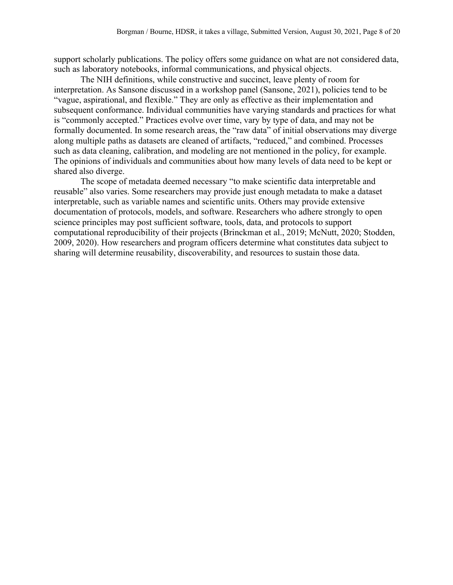support scholarly publications. The policy offers some guidance on what are not considered data, such as laboratory notebooks, informal communications, and physical objects.

The NIH definitions, while constructive and succinct, leave plenty of room for interpretation. As Sansone discussed in a workshop panel (Sansone, 2021), policies tend to be "vague, aspirational, and flexible." They are only as effective as their implementation and subsequent conformance. Individual communities have varying standards and practices for what is "commonly accepted." Practices evolve over time, vary by type of data, and may not be formally documented. In some research areas, the "raw data" of initial observations may diverge along multiple paths as datasets are cleaned of artifacts, "reduced," and combined. Processes such as data cleaning, calibration, and modeling are not mentioned in the policy, for example. The opinions of individuals and communities about how many levels of data need to be kept or shared also diverge.

The scope of metadata deemed necessary "to make scientific data interpretable and reusable" also varies. Some researchers may provide just enough metadata to make a dataset interpretable, such as variable names and scientific units. Others may provide extensive documentation of protocols, models, and software. Researchers who adhere strongly to open science principles may post sufficient software, tools, data, and protocols to support computational reproducibility of their projects (Brinckman et al., 2019; McNutt, 2020; Stodden, 2009, 2020). How researchers and program officers determine what constitutes data subject to sharing will determine reusability, discoverability, and resources to sustain those data.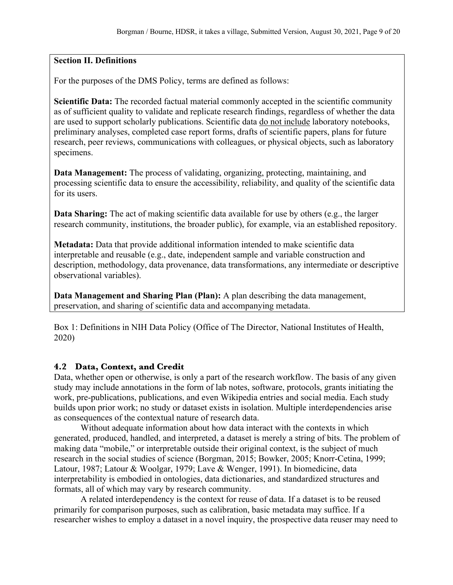### **Section II. Definitions**

For the purposes of the DMS Policy, terms are defined as follows:

**Scientific Data:** The recorded factual material commonly accepted in the scientific community as of sufficient quality to validate and replicate research findings, regardless of whether the data are used to support scholarly publications. Scientific data do not include laboratory notebooks, preliminary analyses, completed case report forms, drafts of scientific papers, plans for future research, peer reviews, communications with colleagues, or physical objects, such as laboratory specimens.

**Data Management:** The process of validating, organizing, protecting, maintaining, and processing scientific data to ensure the accessibility, reliability, and quality of the scientific data for its users.

**Data Sharing:** The act of making scientific data available for use by others (e.g., the larger research community, institutions, the broader public), for example, via an established repository.

**Metadata:** Data that provide additional information intended to make scientific data interpretable and reusable (e.g., date, independent sample and variable construction and description, methodology, data provenance, data transformations, any intermediate or descriptive observational variables).

**Data Management and Sharing Plan (Plan):** A plan describing the data management, preservation, and sharing of scientific data and accompanying metadata.

Box 1: Definitions in NIH Data Policy (Office of The Director, National Institutes of Health, 2020)

## **4.2 Data, Context, and Credit**

Data, whether open or otherwise, is only a part of the research workflow. The basis of any given study may include annotations in the form of lab notes, software, protocols, grants initiating the work, pre-publications, publications, and even Wikipedia entries and social media. Each study builds upon prior work; no study or dataset exists in isolation. Multiple interdependencies arise as consequences of the contextual nature of research data.

Without adequate information about how data interact with the contexts in which generated, produced, handled, and interpreted, a dataset is merely a string of bits. The problem of making data "mobile," or interpretable outside their original context, is the subject of much research in the social studies of science (Borgman, 2015; Bowker, 2005; Knorr-Cetina, 1999; Latour, 1987; Latour & Woolgar, 1979; Lave & Wenger, 1991). In biomedicine, data interpretability is embodied in ontologies, data dictionaries, and standardized structures and formats, all of which may vary by research community.

A related interdependency is the context for reuse of data. If a dataset is to be reused primarily for comparison purposes, such as calibration, basic metadata may suffice. If a researcher wishes to employ a dataset in a novel inquiry, the prospective data reuser may need to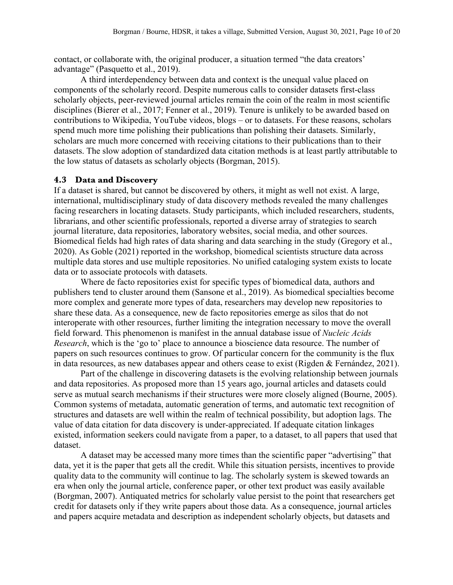contact, or collaborate with, the original producer, a situation termed "the data creators' advantage" (Pasquetto et al., 2019).

A third interdependency between data and context is the unequal value placed on components of the scholarly record. Despite numerous calls to consider datasets first-class scholarly objects, peer-reviewed journal articles remain the coin of the realm in most scientific disciplines (Bierer et al., 2017; Fenner et al., 2019). Tenure is unlikely to be awarded based on contributions to Wikipedia, YouTube videos, blogs – or to datasets. For these reasons, scholars spend much more time polishing their publications than polishing their datasets. Similarly, scholars are much more concerned with receiving citations to their publications than to their datasets. The slow adoption of standardized data citation methods is at least partly attributable to the low status of datasets as scholarly objects (Borgman, 2015).

#### **4.3 Data and Discovery**

If a dataset is shared, but cannot be discovered by others, it might as well not exist. A large, international, multidisciplinary study of data discovery methods revealed the many challenges facing researchers in locating datasets. Study participants, which included researchers, students, librarians, and other scientific professionals, reported a diverse array of strategies to search journal literature, data repositories, laboratory websites, social media, and other sources. Biomedical fields had high rates of data sharing and data searching in the study (Gregory et al., 2020). As Goble (2021) reported in the workshop, biomedical scientists structure data across multiple data stores and use multiple repositories. No unified cataloging system exists to locate data or to associate protocols with datasets.

Where de facto repositories exist for specific types of biomedical data, authors and publishers tend to cluster around them (Sansone et al., 2019). As biomedical specialties become more complex and generate more types of data, researchers may develop new repositories to share these data. As a consequence, new de facto repositories emerge as silos that do not interoperate with other resources, further limiting the integration necessary to move the overall field forward. This phenomenon is manifest in the annual database issue of *Nucleic Acids Research*, which is the 'go to' place to announce a bioscience data resource. The number of papers on such resources continues to grow. Of particular concern for the community is the flux in data resources, as new databases appear and others cease to exist (Rigden & Fernández, 2021).

Part of the challenge in discovering datasets is the evolving relationship between journals and data repositories. As proposed more than 15 years ago, journal articles and datasets could serve as mutual search mechanisms if their structures were more closely aligned (Bourne, 2005). Common systems of metadata, automatic generation of terms, and automatic text recognition of structures and datasets are well within the realm of technical possibility, but adoption lags. The value of data citation for data discovery is under-appreciated. If adequate citation linkages existed, information seekers could navigate from a paper, to a dataset, to all papers that used that dataset.

A dataset may be accessed many more times than the scientific paper "advertising" that data, yet it is the paper that gets all the credit. While this situation persists, incentives to provide quality data to the community will continue to lag. The scholarly system is skewed towards an era when only the journal article, conference paper, or other text product was easily available (Borgman, 2007). Antiquated metrics for scholarly value persist to the point that researchers get credit for datasets only if they write papers about those data. As a consequence, journal articles and papers acquire metadata and description as independent scholarly objects, but datasets and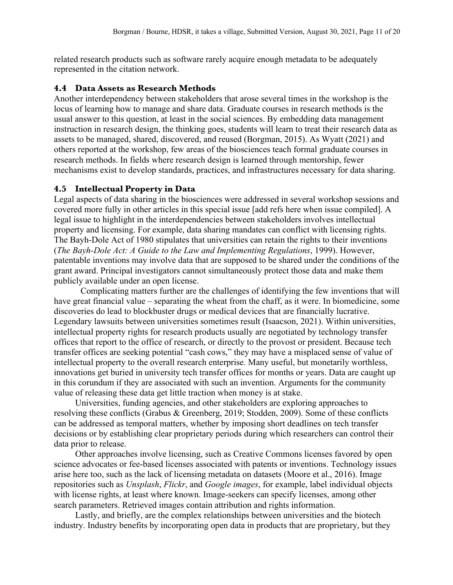related research products such as software rarely acquire enough metadata to be adequately represented in the citation network.

#### **4.4 Data Assets as Research Methods**

Another interdependency between stakeholders that arose several times in the workshop is the locus of learning how to manage and share data. Graduate courses in research methods is the usual answer to this question, at least in the social sciences. By embedding data management instruction in research design, the thinking goes, students will learn to treat their research data as assets to be managed, shared, discovered, and reused (Borgman, 2015). As Wyatt (2021) and others reported at the workshop, few areas of the biosciences teach formal graduate courses in research methods. In fields where research design is learned through mentorship, fewer mechanisms exist to develop standards, practices, and infrastructures necessary for data sharing.

#### **4.5 Intellectual Property in Data**

Legal aspects of data sharing in the biosciences were addressed in several workshop sessions and covered more fully in other articles in this special issue [add refs here when issue compiled]. A legal issue to highlight in the interdependencies between stakeholders involves intellectual property and licensing. For example, data sharing mandates can conflict with licensing rights. The Bayh-Dole Act of 1980 stipulates that universities can retain the rights to their inventions (*The Bayh-Dole Act: A Guide to the Law and Implementing Regulations*, 1999). However, patentable inventions may involve data that are supposed to be shared under the conditions of the grant award. Principal investigators cannot simultaneously protect those data and make them publicly available under an open license.

Complicating matters further are the challenges of identifying the few inventions that will have great financial value – separating the wheat from the chaff, as it were. In biomedicine, some discoveries do lead to blockbuster drugs or medical devices that are financially lucrative. Legendary lawsuits between universities sometimes result (Isaacson, 2021). Within universities, intellectual property rights for research products usually are negotiated by technology transfer offices that report to the office of research, or directly to the provost or president. Because tech transfer offices are seeking potential "cash cows," they may have a misplaced sense of value of intellectual property to the overall research enterprise. Many useful, but monetarily worthless, innovations get buried in university tech transfer offices for months or years. Data are caught up in this corundum if they are associated with such an invention. Arguments for the community value of releasing these data get little traction when money is at stake.

Universities, funding agencies, and other stakeholders are exploring approaches to resolving these conflicts (Grabus & Greenberg, 2019; Stodden, 2009). Some of these conflicts can be addressed as temporal matters, whether by imposing short deadlines on tech transfer decisions or by establishing clear proprietary periods during which researchers can control their data prior to release.

Other approaches involve licensing, such as Creative Commons licenses favored by open science advocates or fee-based licenses associated with patents or inventions. Technology issues arise here too, such as the lack of licensing metadata on datasets (Moore et al., 2016). Image repositories such as *Unsplash*, *Flickr*, and *Google images*, for example, label individual objects with license rights, at least where known. Image-seekers can specify licenses, among other search parameters. Retrieved images contain attribution and rights information.

Lastly, and briefly, are the complex relationships between universities and the biotech industry. Industry benefits by incorporating open data in products that are proprietary, but they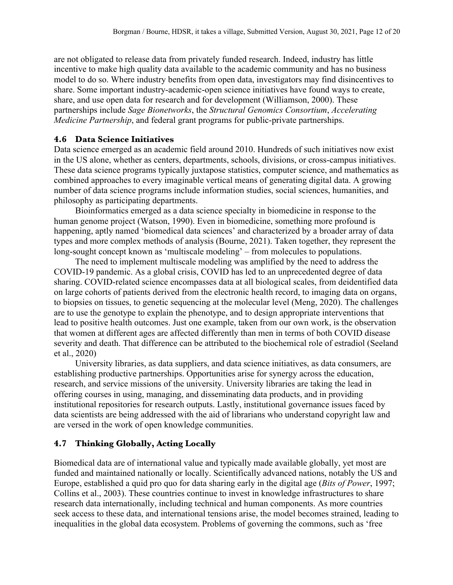are not obligated to release data from privately funded research. Indeed, industry has little incentive to make high quality data available to the academic community and has no business model to do so. Where industry benefits from open data, investigators may find disincentives to share. Some important industry-academic-open science initiatives have found ways to create, share, and use open data for research and for development (Williamson, 2000). These partnerships include *Sage Bionetworks*, the *Structural Genomics Consortium*, *Accelerating Medicine Partnership*, and federal grant programs for public-private partnerships.

### **4.6 Data Science Initiatives**

Data science emerged as an academic field around 2010. Hundreds of such initiatives now exist in the US alone, whether as centers, departments, schools, divisions, or cross-campus initiatives. These data science programs typically juxtapose statistics, computer science, and mathematics as combined approaches to every imaginable vertical means of generating digital data. A growing number of data science programs include information studies, social sciences, humanities, and philosophy as participating departments.

Bioinformatics emerged as a data science specialty in biomedicine in response to the human genome project (Watson, 1990). Even in biomedicine, something more profound is happening, aptly named 'biomedical data sciences' and characterized by a broader array of data types and more complex methods of analysis (Bourne, 2021). Taken together, they represent the long-sought concept known as 'multiscale modeling' – from molecules to populations.

The need to implement multiscale modeling was amplified by the need to address the COVID-19 pandemic. As a global crisis, COVID has led to an unprecedented degree of data sharing. COVID-related science encompasses data at all biological scales, from deidentified data on large cohorts of patients derived from the electronic health record, to imaging data on organs, to biopsies on tissues, to genetic sequencing at the molecular level (Meng, 2020). The challenges are to use the genotype to explain the phenotype, and to design appropriate interventions that lead to positive health outcomes. Just one example, taken from our own work, is the observation that women at different ages are affected differently than men in terms of both COVID disease severity and death. That difference can be attributed to the biochemical role of estradiol (Seeland et al., 2020)

University libraries, as data suppliers, and data science initiatives, as data consumers, are establishing productive partnerships. Opportunities arise for synergy across the education, research, and service missions of the university. University libraries are taking the lead in offering courses in using, managing, and disseminating data products, and in providing institutional repositories for research outputs. Lastly, institutional governance issues faced by data scientists are being addressed with the aid of librarians who understand copyright law and are versed in the work of open knowledge communities.

# **4.7 Thinking Globally, Acting Locally**

Biomedical data are of international value and typically made available globally, yet most are funded and maintained nationally or locally. Scientifically advanced nations, notably the US and Europe, established a quid pro quo for data sharing early in the digital age (*Bits of Power*, 1997; Collins et al., 2003). These countries continue to invest in knowledge infrastructures to share research data internationally, including technical and human components. As more countries seek access to these data, and international tensions arise, the model becomes strained, leading to inequalities in the global data ecosystem. Problems of governing the commons, such as 'free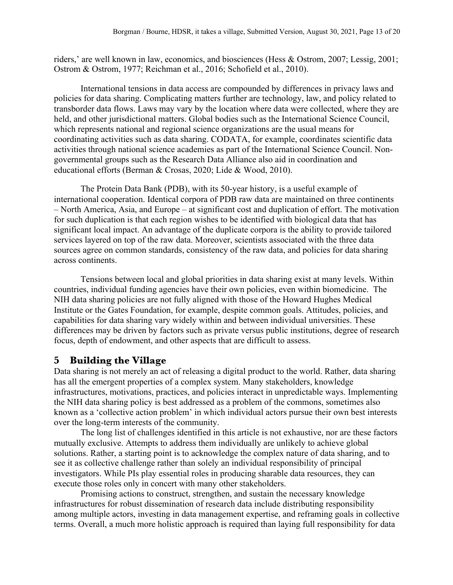riders,' are well known in law, economics, and biosciences (Hess & Ostrom, 2007; Lessig, 2001; Ostrom & Ostrom, 1977; Reichman et al., 2016; Schofield et al., 2010).

International tensions in data access are compounded by differences in privacy laws and policies for data sharing. Complicating matters further are technology, law, and policy related to transborder data flows. Laws may vary by the location where data were collected, where they are held, and other jurisdictional matters. Global bodies such as the International Science Council, which represents national and regional science organizations are the usual means for coordinating activities such as data sharing. CODATA, for example, coordinates scientific data activities through national science academies as part of the International Science Council. Nongovernmental groups such as the Research Data Alliance also aid in coordination and educational efforts (Berman & Crosas, 2020; Lide & Wood, 2010).

The Protein Data Bank (PDB), with its 50-year history, is a useful example of international cooperation. Identical corpora of PDB raw data are maintained on three continents – North America, Asia, and Europe – at significant cost and duplication of effort. The motivation for such duplication is that each region wishes to be identified with biological data that has significant local impact. An advantage of the duplicate corpora is the ability to provide tailored services layered on top of the raw data. Moreover, scientists associated with the three data sources agree on common standards, consistency of the raw data, and policies for data sharing across continents.

Tensions between local and global priorities in data sharing exist at many levels. Within countries, individual funding agencies have their own policies, even within biomedicine. The NIH data sharing policies are not fully aligned with those of the Howard Hughes Medical Institute or the Gates Foundation, for example, despite common goals. Attitudes, policies, and capabilities for data sharing vary widely within and between individual universities. These differences may be driven by factors such as private versus public institutions, degree of research focus, depth of endowment, and other aspects that are difficult to assess.

## **5 Building the Village**

Data sharing is not merely an act of releasing a digital product to the world. Rather, data sharing has all the emergent properties of a complex system. Many stakeholders, knowledge infrastructures, motivations, practices, and policies interact in unpredictable ways. Implementing the NIH data sharing policy is best addressed as a problem of the commons, sometimes also known as a 'collective action problem' in which individual actors pursue their own best interests over the long-term interests of the community.

The long list of challenges identified in this article is not exhaustive, nor are these factors mutually exclusive. Attempts to address them individually are unlikely to achieve global solutions. Rather, a starting point is to acknowledge the complex nature of data sharing, and to see it as collective challenge rather than solely an individual responsibility of principal investigators. While PIs play essential roles in producing sharable data resources, they can execute those roles only in concert with many other stakeholders.

Promising actions to construct, strengthen, and sustain the necessary knowledge infrastructures for robust dissemination of research data include distributing responsibility among multiple actors, investing in data management expertise, and reframing goals in collective terms. Overall, a much more holistic approach is required than laying full responsibility for data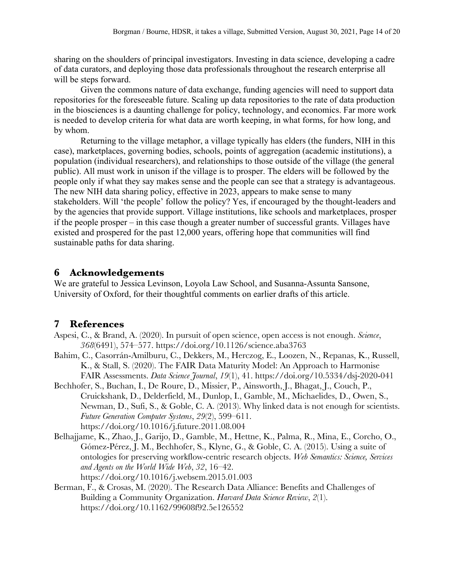sharing on the shoulders of principal investigators. Investing in data science, developing a cadre of data curators, and deploying those data professionals throughout the research enterprise all will be steps forward.

Given the commons nature of data exchange, funding agencies will need to support data repositories for the foreseeable future. Scaling up data repositories to the rate of data production in the biosciences is a daunting challenge for policy, technology, and economics. Far more work is needed to develop criteria for what data are worth keeping, in what forms, for how long, and by whom.

Returning to the village metaphor, a village typically has elders (the funders, NIH in this case), marketplaces, governing bodies, schools, points of aggregation (academic institutions), a population (individual researchers), and relationships to those outside of the village (the general public). All must work in unison if the village is to prosper. The elders will be followed by the people only if what they say makes sense and the people can see that a strategy is advantageous. The new NIH data sharing policy, effective in 2023, appears to make sense to many stakeholders. Will 'the people' follow the policy? Yes, if encouraged by the thought-leaders and by the agencies that provide support. Village institutions, like schools and marketplaces, prosper if the people prosper – in this case though a greater number of successful grants. Villages have existed and prospered for the past 12,000 years, offering hope that communities will find sustainable paths for data sharing.

### **6 Acknowledgements**

We are grateful to Jessica Levinson, Loyola Law School, and Susanna-Assunta Sansone, University of Oxford, for their thoughtful comments on earlier drafts of this article.

## **7 References**

- Aspesi, C., & Brand, A. (2020). In pursuit of open science, open access is not enough. *Science*, *368*(6491), 574–577. https://doi.org/10.1126/science.aba3763
- Bahim, C., Casorrán-Amilburu, C., Dekkers, M., Herczog, E., Loozen, N., Repanas, K., Russell, K., & Stall, S. (2020). The FAIR Data Maturity Model: An Approach to Harmonise FAIR Assessments. *Data Science Journal*, *19*(1), 41. https://doi.org/10.5334/dsj-2020-041
- Bechhofer, S., Buchan, I., De Roure, D., Missier, P., Ainsworth, J., Bhagat, J., Couch, P., Cruickshank, D., Delderfield, M., Dunlop, I., Gamble, M., Michaelides, D., Owen, S., Newman, D., Sufi, S., & Goble, C. A. (2013). Why linked data is not enough for scientists. *Future Generation Computer Systems*, *29*(2), 599–611. https://doi.org/10.1016/j.future.2011.08.004
- Belhajjame, K., Zhao, J., Garijo, D., Gamble, M., Hettne, K., Palma, R., Mina, E., Corcho, O., Gómez-Pérez, J. M., Bechhofer, S., Klyne, G., & Goble, C. A. (2015). Using a suite of ontologies for preserving workflow-centric research objects. *Web Semantics: Science, Services and Agents on the World Wide Web*, *32*, 16–42. https://doi.org/10.1016/j.websem.2015.01.003
- Berman, F., & Crosas, M. (2020). The Research Data Alliance: Benefits and Challenges of Building a Community Organization. *Harvard Data Science Review*, *2*(1). https://doi.org/10.1162/99608f92.5e126552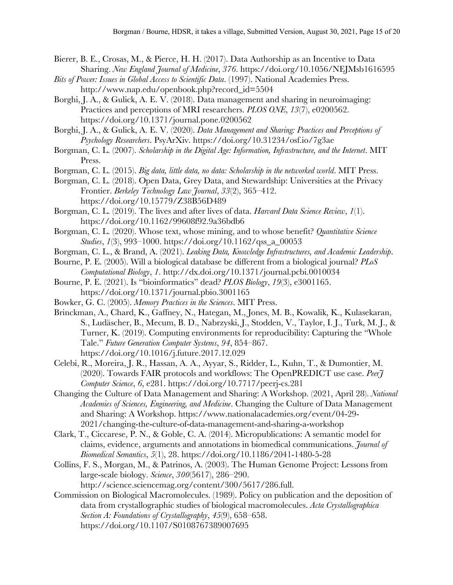- Bierer, B. E., Crosas, M., & Pierce, H. H. (2017). Data Authorship as an Incentive to Data Sharing. *New England Journal of Medicine*, *376*. https://doi.org/10.1056/NEJMsb1616595
- *Bits of Power: Issues in Global Access to Scientific Data*. (1997). National Academies Press. http://www.nap.edu/openbook.php?record\_id=5504
- Borghi, J. A., & Gulick, A. E. V. (2018). Data management and sharing in neuroimaging: Practices and perceptions of MRI researchers. *PLOS ONE*, *13*(7), e0200562. https://doi.org/10.1371/journal.pone.0200562
- Borghi, J. A., & Gulick, A. E. V. (2020). *Data Management and Sharing: Practices and Perceptions of Psychology Researchers*. PsyArXiv. https://doi.org/10.31234/osf.io/7g3ae
- Borgman, C. L. (2007). *Scholarship in the Digital Age: Information, Infrastructure, and the Internet*. MIT Press.
- Borgman, C. L. (2015). *Big data, little data, no data: Scholarship in the networked world*. MIT Press.
- Borgman, C. L. (2018). Open Data, Grey Data, and Stewardship: Universities at the Privacy Frontier. *Berkeley Technology Law Journal*, *33*(2), 365–412.
	- https://doi.org/10.15779/Z38B56D489
- Borgman, C. L. (2019). The lives and after lives of data. *Harvard Data Science Review*, *1*(1). https://doi.org/10.1162/99608f92.9a36bdb6
- Borgman, C. L. (2020). Whose text, whose mining, and to whose benefit? *Quantitative Science Studies*, *1*(3), 993–1000. https://doi.org/10.1162/qss\_a\_00053
- Borgman, C. L., & Brand, A. (2021). *Leaking Data, Knowledge Infrastructures, and Academic Leadership*.
- Bourne, P. E. (2005). Will a biological database be different from a biological journal? *PLoS Computational Biology*, *1*. http://dx.doi.org/10.1371/journal.pcbi.0010034
- Bourne, P. E. (2021). Is "bioinformatics" dead? *PLOS Biology*, *19*(3), e3001165. https://doi.org/10.1371/journal.pbio.3001165
- Bowker, G. C. (2005). *Memory Practices in the Sciences*. MIT Press.
- Brinckman, A., Chard, K., Gaffney, N., Hategan, M., Jones, M. B., Kowalik, K., Kulasekaran, S., Ludäscher, B., Mecum, B. D., Nabrzyski, J., Stodden, V., Taylor, I. J., Turk, M. J., & Turner, K. (2019). Computing environments for reproducibility: Capturing the "Whole Tale." *Future Generation Computer Systems*, *94*, 854–867. https://doi.org/10.1016/j.future.2017.12.029
- Celebi, R., Moreira, J. R., Hassan, A. A., Ayyar, S., Ridder, L., Kuhn, T., & Dumontier, M. (2020). Towards FAIR protocols and workflows: The OpenPREDICT use case. *PeerJ Computer Science*, *6*, e281. https://doi.org/10.7717/peerj-cs.281
- Changing the Culture of Data Management and Sharing: A Workshop. (2021, April 28). *National Academies of Sciences, Engineering, and Medicine*. Changing the Culture of Data Management and Sharing: A Workshop. https://www.nationalacademies.org/event/04-29- 2021/changing-the-culture-of-data-management-and-sharing-a-workshop
- Clark, T., Ciccarese, P. N., & Goble, C. A. (2014). Micropublications: A semantic model for claims, evidence, arguments and annotations in biomedical communications. *Journal of Biomedical Semantics*, *5*(1), 28. https://doi.org/10.1186/2041-1480-5-28
- Collins, F. S., Morgan, M., & Patrinos, A. (2003). The Human Genome Project: Lessons from large-scale biology. *Science*, *300*(5617), 286–290. http://science.sciencemag.org/content/300/5617/286.full.
- Commission on Biological Macromolecules. (1989). Policy on publication and the deposition of data from crystallographic studies of biological macromolecules. *Acta Crystallographica Section A: Foundations of Crystallography*, *45*(9), 658–658. https://doi.org/10.1107/S0108767389007695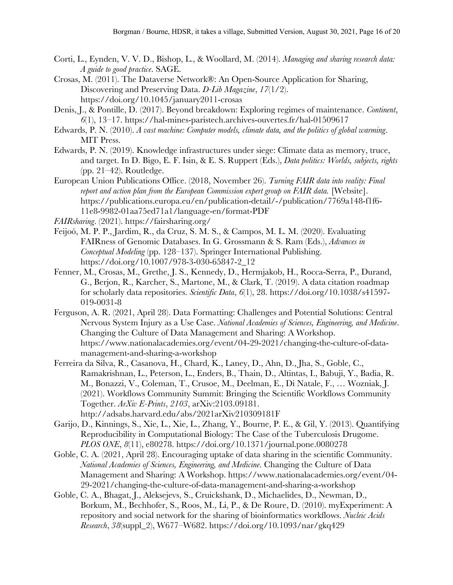- Corti, L., Eynden, V. V. D., Bishop, L., & Woollard, M. (2014). *Managing and sharing research data: A guide to good practice*. SAGE.
- Crosas, M. (2011). The Dataverse Network®: An Open-Source Application for Sharing, Discovering and Preserving Data. *D-Lib Magazine*, *17*(1/2). https://doi.org/10.1045/january2011-crosas
- Denis, J., & Pontille, D. (2017). Beyond breakdown: Exploring regimes of maintenance. *Continent*, *6*(1), 13–17. https://hal-mines-paristech.archives-ouvertes.fr/hal-01509617
- Edwards, P. N. (2010). *A vast machine: Computer models, climate data, and the politics of global warming*. MIT Press.
- Edwards, P. N. (2019). Knowledge infrastructures under siege: Climate data as memory, truce, and target. In D. Bigo, E. F. Isin, & E. S. Ruppert (Eds.), *Data politics: Worlds, subjects, rights* (pp. 21–42). Routledge.
- European Union Publications Office. (2018, November 26). *Turning FAIR data into reality: Final report and action plan from the European Commission expert group on FAIR data.* [Website]. https://publications.europa.eu/en/publication-detail/-/publication/7769a148-f1f6- 11e8-9982-01aa75ed71a1/language-en/format-PDF
- *FAIRsharing*. (2021). https://fairsharing.org/
- Feijoó, M. P. P., Jardim, R., da Cruz, S. M. S., & Campos, M. L. M. (2020). Evaluating FAIRness of Genomic Databases. In G. Grossmann & S. Ram (Eds.), *Advances in Conceptual Modeling* (pp. 128–137). Springer International Publishing. https://doi.org/10.1007/978-3-030-65847-2\_12
- Fenner, M., Crosas, M., Grethe, J. S., Kennedy, D., Hermjakob, H., Rocca-Serra, P., Durand, G., Berjon, R., Karcher, S., Martone, M., & Clark, T. (2019). A data citation roadmap for scholarly data repositories. *Scientific Data*, *6*(1), 28. https://doi.org/10.1038/s41597- 019-0031-8
- Ferguson, A. R. (2021, April 28). Data Formatting: Challenges and Potential Solutions: Central Nervous System Injury as a Use Case. *National Academies of Sciences, Engineering, and Medicine*. Changing the Culture of Data Management and Sharing: A Workshop. https://www.nationalacademies.org/event/04-29-2021/changing-the-culture-of-datamanagement-and-sharing-a-workshop
- Ferreira da Silva, R., Casanova, H., Chard, K., Laney, D., Ahn, D., Jha, S., Goble, C., Ramakrishnan, L., Peterson, L., Enders, B., Thain, D., Altintas, I., Babuji, Y., Badia, R. M., Bonazzi, V., Coleman, T., Crusoe, M., Deelman, E., Di Natale, F., … Wozniak, J. (2021). Workflows Community Summit: Bringing the Scientific Workflows Community Together. *ArXiv E-Prints*, *2103*, arXiv:2103.09181. http://adsabs.harvard.edu/abs/2021arXiv210309181F
- Garijo, D., Kinnings, S., Xie, L., Xie, L., Zhang, Y., Bourne, P. E., & Gil, Y. (2013). Quantifying Reproducibility in Computational Biology: The Case of the Tuberculosis Drugome. *PLOS ONE*, *8*(11), e80278. https://doi.org/10.1371/journal.pone.0080278
- Goble, C. A. (2021, April 28). Encouraging uptake of data sharing in the scientific Community. *National Academies of Sciences, Engineering, and Medicine*. Changing the Culture of Data Management and Sharing: A Workshop. https://www.nationalacademies.org/event/04- 29-2021/changing-the-culture-of-data-management-and-sharing-a-workshop
- Goble, C. A., Bhagat, J., Aleksejevs, S., Cruickshank, D., Michaelides, D., Newman, D., Borkum, M., Bechhofer, S., Roos, M., Li, P., & De Roure, D. (2010). myExperiment: A repository and social network for the sharing of bioinformatics workflows. *Nucleic Acids Research*, *38*(suppl\_2), W677–W682. https://doi.org/10.1093/nar/gkq429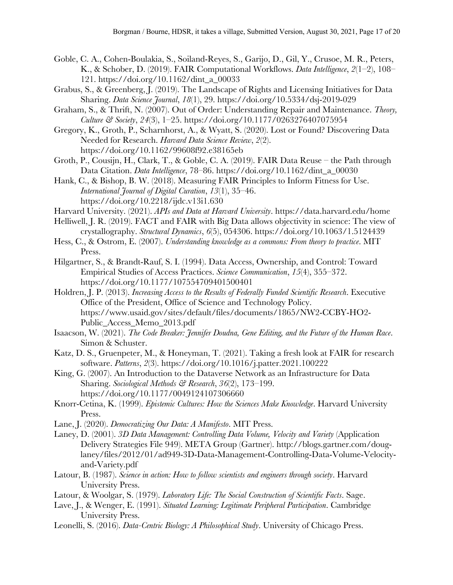- Goble, C. A., Cohen-Boulakia, S., Soiland-Reyes, S., Garijo, D., Gil, Y., Crusoe, M. R., Peters, K., & Schober, D. (2019). FAIR Computational Workflows. *Data Intelligence*, *2*(1–2), 108– 121. https://doi.org/10.1162/dint\_a\_00033
- Grabus, S., & Greenberg, J. (2019). The Landscape of Rights and Licensing Initiatives for Data Sharing. *Data Science Journal*, *18*(1), 29. https://doi.org/10.5334/dsj-2019-029
- Graham, S., & Thrift, N. (2007). Out of Order: Understanding Repair and Maintenance. *Theory, Culture & Society*, *24*(3), 1–25. https://doi.org/10.1177/0263276407075954
- Gregory, K., Groth, P., Scharnhorst, A., & Wyatt, S. (2020). Lost or Found? Discovering Data Needed for Research. *Harvard Data Science Review*, *2*(2). https://doi.org/10.1162/99608f92.e38165eb
- Groth, P., Cousijn, H., Clark, T., & Goble, C. A. (2019). FAIR Data Reuse the Path through Data Citation. *Data Intelligence*, 78–86. https://doi.org/10.1162/dint\_a\_00030
- Hank, C., & Bishop, B. W. (2018). Measuring FAIR Principles to Inform Fitness for Use. *International Journal of Digital Curation*, *13*(1), 35–46. https://doi.org/10.2218/ijdc.v13i1.630
- Harvard University. (2021). *APIs and Data at Harvard University*. https://data.harvard.edu/home
- Helliwell, J. R. (2019). FACT and FAIR with Big Data allows objectivity in science: The view of crystallography. *Structural Dynamics*, *6*(5), 054306. https://doi.org/10.1063/1.5124439
- Hess, C., & Ostrom, E. (2007). *Understanding knowledge as a commons: From theory to practice*. MIT Press.
- Hilgartner, S., & Brandt-Rauf, S. I. (1994). Data Access, Ownership, and Control: Toward Empirical Studies of Access Practices. *Science Communication*, *15*(4), 355–372. https://doi.org/10.1177/107554709401500401
- Holdren, J. P. (2013). *Increasing Access to the Results of Federally Funded Scientific Research*. Executive Office of the President, Office of Science and Technology Policy. https://www.usaid.gov/sites/default/files/documents/1865/NW2-CCBY-HO2- Public\_Access\_Memo\_2013.pdf
- Isaacson, W. (2021). *The Code Breaker: Jennifer Doudna, Gene Editing, and the Future of the Human Race*. Simon & Schuster.
- Katz, D. S., Gruenpeter, M., & Honeyman, T. (2021). Taking a fresh look at FAIR for research software. *Patterns*, *2*(3). https://doi.org/10.1016/j.patter.2021.100222
- King, G. (2007). An Introduction to the Dataverse Network as an Infrastructure for Data Sharing. *Sociological Methods & Research*, *36*(2), 173–199. https://doi.org/10.1177/0049124107306660
- Knorr-Cetina, K. (1999). *Epistemic Cultures: How the Sciences Make Knowledge*. Harvard University Press.
- Lane, J. (2020). *Democratizing Our Data: A Manifesto*. MIT Press.
- Laney, D. (2001). *3D Data Management: Controlling Data Volume, Velocity and Variety* (Application Delivery Strategies File 949). META Group (Gartner). http://blogs.gartner.com/douglaney/files/2012/01/ad949-3D-Data-Management-Controlling-Data-Volume-Velocityand-Variety.pdf
- Latour, B. (1987). *Science in action: How to follow scientists and engineers through society*. Harvard University Press.
- Latour, & Woolgar, S. (1979). *Laboratory Life: The Social Construction of Scientific Facts*. Sage.
- Lave, J., & Wenger, E. (1991). *Situated Learning: Legitimate Peripheral Participation*. Cambridge University Press.
- Leonelli, S. (2016). *Data-Centric Biology: A Philosophical Study*. University of Chicago Press.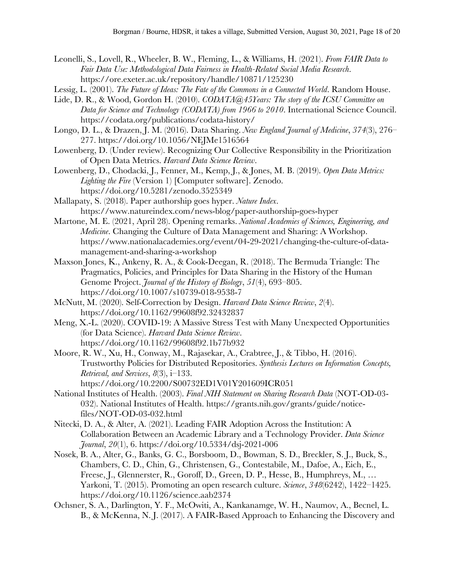- Leonelli, S., Lovell, R., Wheeler, B. W., Fleming, L., & Williams, H. (2021). *From FAIR Data to Fair Data Use: Methodological Data Fairness in Health-Related Social Media Research*. https://ore.exeter.ac.uk/repository/handle/10871/125230
- Lessig, L. (2001). *The Future of Ideas: The Fate of the Commons in a Connected World*. Random House.
- Lide, D. R., & Wood, Gordon H. (2010). *CODATA@45Years: The story of the ICSU Committee on Data for Science and Technology (CODATA) from 1966 to 2010*. International Science Council. https://codata.org/publications/codata-history/
- Longo, D. L., & Drazen, J. M. (2016). Data Sharing. *New England Journal of Medicine*, *374*(3), 276– 277. https://doi.org/10.1056/NEJMe1516564
- Lowenberg, D. (Under review). Recognizing Our Collective Responsibility in the Prioritization of Open Data Metrics. *Harvard Data Science Review*.
- Lowenberg, D., Chodacki, J., Fenner, M., Kemp, J., & Jones, M. B. (2019). *Open Data Metrics: Lighting the Fire* (Version 1) [Computer software]. Zenodo. https://doi.org/10.5281/zenodo.3525349
- Mallapaty, S. (2018). Paper authorship goes hyper. *Nature Index*. https://www.natureindex.com/news-blog/paper-authorship-goes-hyper
- Martone, M. E. (2021, April 28). Opening remarks. *National Academies of Sciences, Engineering, and Medicine*. Changing the Culture of Data Management and Sharing: A Workshop. https://www.nationalacademies.org/event/04-29-2021/changing-the-culture-of-datamanagement-and-sharing-a-workshop
- Maxson Jones, K., Ankeny, R. A., & Cook-Deegan, R. (2018). The Bermuda Triangle: The Pragmatics, Policies, and Principles for Data Sharing in the History of the Human Genome Project. *Journal of the History of Biology*, *51*(4), 693–805. https://doi.org/10.1007/s10739-018-9538-7
- McNutt, M. (2020). Self-Correction by Design. *Harvard Data Science Review*, *2*(4). https://doi.org/10.1162/99608f92.32432837
- Meng, X.-L. (2020). COVID-19: A Massive Stress Test with Many Unexpected Opportunities (for Data Science). *Harvard Data Science Review*. https://doi.org/10.1162/99608f92.1b77b932
- Moore, R. W., Xu, H., Conway, M., Rajasekar, A., Crabtree, J., & Tibbo, H. (2016). Trustworthy Policies for Distributed Repositories. *Synthesis Lectures on Information Concepts, Retrieval, and Services*, *8*(3), i–133. https://doi.org/10.2200/S00732ED1V01Y201609ICR051
- National Institutes of Health. (2003). *Final NIH Statement on Sharing Research Data* (NOT-OD-03- 032). National Institutes of Health. https://grants.nih.gov/grants/guide/noticefiles/NOT-OD-03-032.html
- Nitecki, D. A., & Alter, A. (2021). Leading FAIR Adoption Across the Institution: A Collaboration Between an Academic Library and a Technology Provider. *Data Science Journal*, *20*(1), 6. https://doi.org/10.5334/dsj-2021-006
- Nosek, B. A., Alter, G., Banks, G. C., Borsboom, D., Bowman, S. D., Breckler, S. J., Buck, S., Chambers, C. D., Chin, G., Christensen, G., Contestabile, M., Dafoe, A., Eich, E., Freese, J., Glennerster, R., Goroff, D., Green, D. P., Hesse, B., Humphreys, M., … Yarkoni, T. (2015). Promoting an open research culture. *Science*, *348*(6242), 1422–1425. https://doi.org/10.1126/science.aab2374
- Ochsner, S. A., Darlington, Y. F., McOwiti, A., Kankanamge, W. H., Naumov, A., Becnel, L. B., & McKenna, N. J. (2017). A FAIR-Based Approach to Enhancing the Discovery and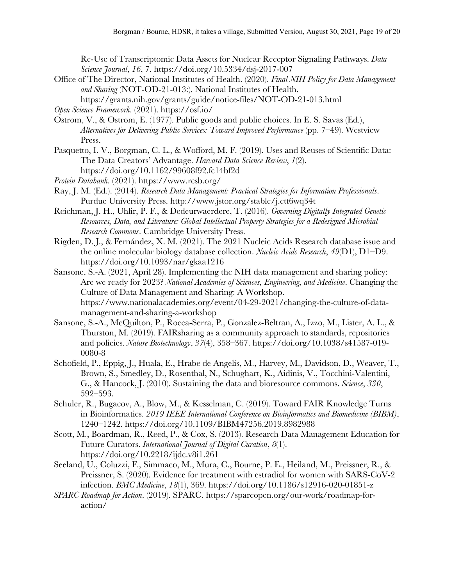Re-Use of Transcriptomic Data Assets for Nuclear Receptor Signaling Pathways. *Data Science Journal*, *16*, 7. https://doi.org/10.5334/dsj-2017-007

Office of The Director, National Institutes of Health. (2020). *Final NIH Policy for Data Management and Sharing* (NOT-OD-21-013:). National Institutes of Health. https://grants.nih.gov/grants/guide/notice-files/NOT-OD-21-013.html

*Open Science Framework*. (2021). https://osf.io/

- Ostrom, V., & Ostrom, E. (1977). Public goods and public choices. In E. S. Savas (Ed.), *Alternatives for Delivering Public Services: Toward Improved Performance* (pp. 7–49). Westview Press.
- Pasquetto, I. V., Borgman, C. L., & Wofford, M. F. (2019). Uses and Reuses of Scientific Data: The Data Creators' Advantage. *Harvard Data Science Review*, *1*(2). https://doi.org/10.1162/99608f92.fc14bf2d
- *Protein Databank*. (2021). https://www.rcsb.org/
- Ray, J. M. (Ed.). (2014). *Research Data Management: Practical Strategies for Information Professionals*. Purdue University Press. http://www.jstor.org/stable/j.ctt6wq34t
- Reichman, J. H., Uhlir, P. F., & Dedeurwaerdere, T. (2016). *Governing Digitally Integrated Genetic Resources, Data, and Literature: Global Intellectual Property Strategies for a Redesigned Microbial Research Commons*. Cambridge University Press.
- Rigden, D. J., & Fernández, X. M. (2021). The 2021 Nucleic Acids Research database issue and the online molecular biology database collection. *Nucleic Acids Research*, *49*(D1), D1–D9. https://doi.org/10.1093/nar/gkaa1216
- Sansone, S.-A. (2021, April 28). Implementing the NIH data management and sharing policy: Are we ready for 2023? *National Academies of Sciences, Engineering, and Medicine*. Changing the Culture of Data Management and Sharing: A Workshop. https://www.nationalacademies.org/event/04-29-2021/changing-the-culture-of-datamanagement-and-sharing-a-workshop
- Sansone, S.-A., McQuilton, P., Rocca-Serra, P., Gonzalez-Beltran, A., Izzo, M., Lister, A. L., & Thurston, M. (2019). FAIRsharing as a community approach to standards, repositories and policies. *Nature Biotechnology*, *37*(4), 358–367. https://doi.org/10.1038/s41587-019- 0080-8
- Schofield, P., Eppig, J., Huala, E., Hrabe de Angelis, M., Harvey, M., Davidson, D., Weaver, T., Brown, S., Smedley, D., Rosenthal, N., Schughart, K., Aidinis, V., Tocchini-Valentini, G., & Hancock, J. (2010). Sustaining the data and bioresource commons. *Science*, *330*, 592–593.
- Schuler, R., Bugacov, A., Blow, M., & Kesselman, C. (2019). Toward FAIR Knowledge Turns in Bioinformatics. *2019 IEEE International Conference on Bioinformatics and Biomedicine (BIBM)*, 1240–1242. https://doi.org/10.1109/BIBM47256.2019.8982988
- Scott, M., Boardman, R., Reed, P., & Cox, S. (2013). Research Data Management Education for Future Curators. *International Journal of Digital Curation*, *8*(1). https://doi.org/10.2218/ijdc.v8i1.261
- Seeland, U., Coluzzi, F., Simmaco, M., Mura, C., Bourne, P. E., Heiland, M., Preissner, R., & Preissner, S. (2020). Evidence for treatment with estradiol for women with SARS-CoV-2 infection. *BMC Medicine*, *18*(1), 369. https://doi.org/10.1186/s12916-020-01851-z
- *SPARC Roadmap for Action*. (2019). SPARC. https://sparcopen.org/our-work/roadmap-foraction/